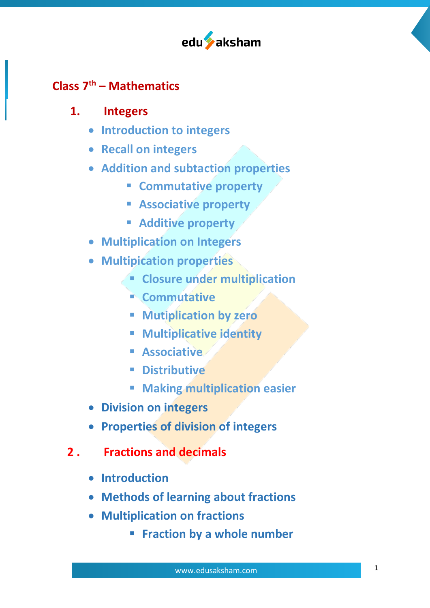

# **Class 7th – Mathematics**

## **1. Integers**

- **Introduction to integers**
- **Recall on integers**
- **Addition and subtaction properties**
	- § **Commutative property**
	- § **Associative property**
	- § **Additive property**
- **Multiplication on Integers**
- **Multipication properties**
	- § **Closure under multiplication**
	- § **Commutative**
	- § **Mutiplication by zero**
	- § **Multiplicative identity**
	- **Associative**
	- § **Distributive**
	- § **Making multiplication easier**
- **Division on integers**
- **Properties of division of integers**
- **2 . Fractions and decimals**
	- **Introduction**
	- **Methods of learning about fractions**
	- **Multiplication on fractions**
		- § **Fraction by a whole number**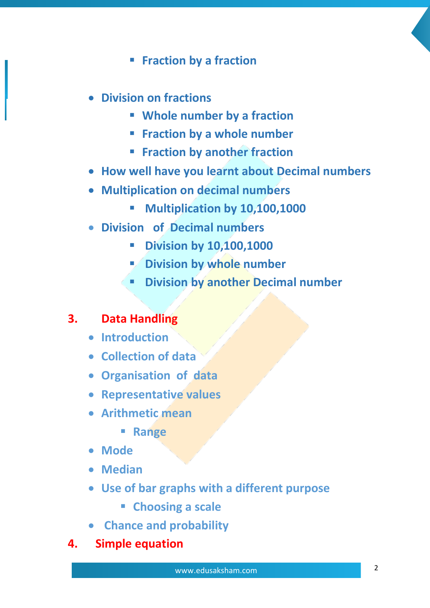- § **Fraction by a fraction**
- **Division on fractions**
	- § **Whole number by a fraction**
	- § **Fraction by a whole number**
	- § **Fraction by another fraction**
- **How well have you learnt about Decimal numbers**
- **Multiplication on decimal numbers**
	- § **Multiplication by 10,100,1000**
- **Division of Decimal numbers**
	- § **Division by 10,100,1000**
	- § **Division by whole number**
	- § **Division by another Decimal number**

## **3. Data Handling**

- **Introduction**
- **Collection of data**
- **Organisation of data**
- **Representative values**
- **Arithmetic mean**
	- § **Range**
- **Mode**
- **Median**
- **Use of bar graphs with a different purpose**
	- § **Choosing a scale**
- **Chance and probability**
- **4. Simple equation**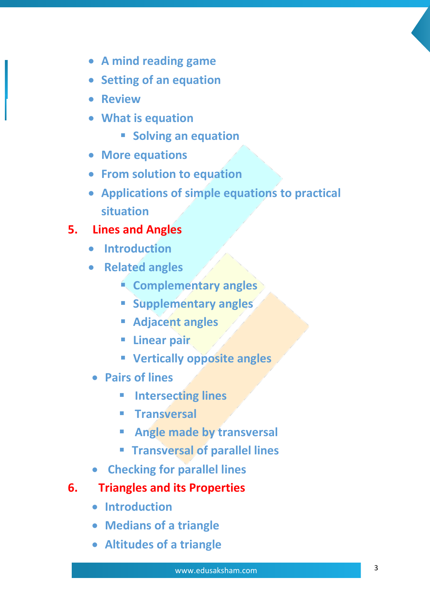- **A mind reading game**
- **Setting of an equation**
- **Review**
- **What is equation**
	- § **Solving an equation**
- **More equations**
- **From solution to equation**
- **Applications of simple equations to practical situation**

# **5. Lines and Angles**

- **Introduction**
- **Related angles**
	- § **Complementary angles**
	- § **Supplementary angles**
	- § **Adjacent angles**
	- § **Linear pair**
	- § **Vertically opposite angles**
- **Pairs of lines** 
	- § **Intersecting lines**
	- § **Transversal**
	- § **Angle made by transversal**
	- § **Transversal of parallel lines**
- **Checking for parallel lines**
- **6. Triangles and its Properties**
	- **Introduction**
	- **Medians of a triangle**
	- **Altitudes of a triangle**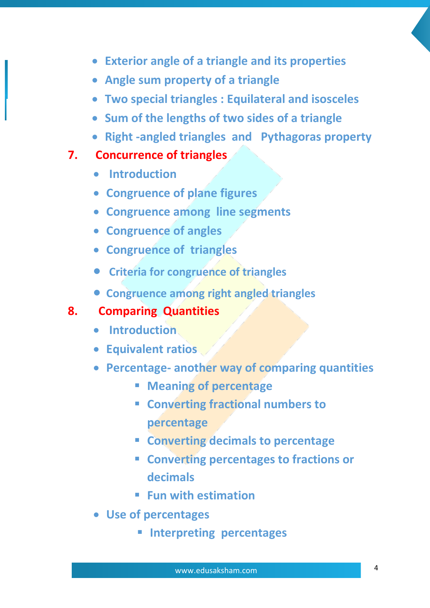- **Exterior angle of a triangle and its properties**
- **Angle sum property of a triangle**
- **Two special triangles : Equilateral and isosceles**
- **Sum of the lengths of two sides of a triangle**
- **Right -angled triangles and Pythagoras property**

#### **7. Concurrence of triangles**

- **Introduction**
- **Congruence of plane figures**
- **Congruence among line segments**
- **Congruence of angles**
- **Congruence of triangles**
- **Criteria for congruence of triangles**
- **Congruence among right angled triangles**

## **8. Comparing Quantities**

- **Introduction**
- **Equivalent ratios**
- **Percentage- another way of comparing quantities**
	- § **Meaning of percentage**
	- § **Converting fractional numbers to percentage**
	- § **Converting decimals to percentage**
	- § **Converting percentages to fractions or decimals**
	- § **Fun with estimation**
- **Use of percentages**
	- § **Interpreting percentages**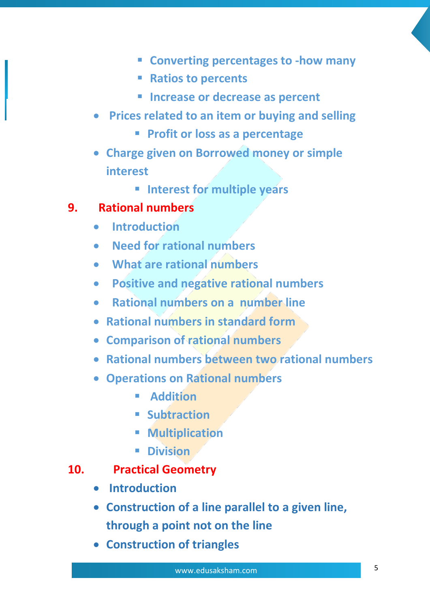- § **Converting percentages to -how many**
- § **Ratios to percents**
- Increase or decrease as percent
- **Prices related to an item or buying and selling**
	- § **Profit or loss as a percentage**
- **Charge given on Borrowed money or simple interest**
	- § **Interest for multiple years**

## **9. Rational numbers**

- • **Introduction**
- **Need for rational numbers**
- **What are rational numbers**
- • **Positive and negative rational numbers**
- • **Rational numbers on a number line**
- **Rational numbers in standard form**
- **Comparison of rational numbers**
- **Rational numbers between two rational numbers**
- **Operations on Rational numbers**
	- **E** Addition
	- § **Subtraction**
	- § **Multiplication**
	- § **Division**

## **10. Practical Geometry**

- **Introduction**
- **Construction of a line parallel to a given line, through a point not on the line**
- **Construction of triangles**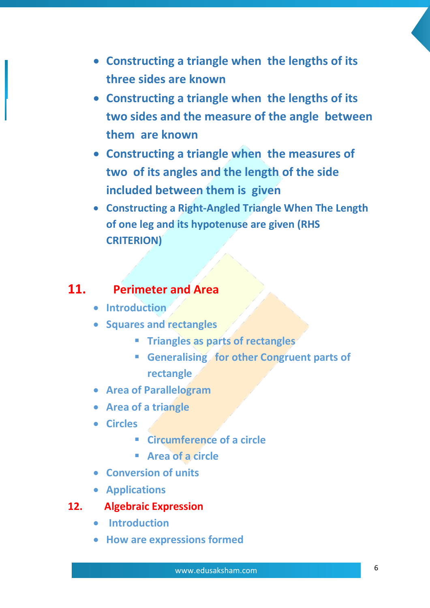- **Constructing a triangle when the lengths of its three sides are known**
- **Constructing a triangle when the lengths of its two sides and the measure of the angle between them are known**
- **Constructing a triangle when the measures of two of its angles and the length of the side included between them is given**
- **Constructing a Right-Angled Triangle When The Length of one leg and its hypotenuse are given (RHS CRITERION)**

## **11. Perimeter and Area**

- **Introduction**
- **Squares and rectangles**
	- § **Triangles as parts of rectangles**
	- § **Generalising for other Congruent parts of rectangle**
- **Area of Parallelogram**
- **Area of a triangle**
- **Circles**
	- **Circumference of a circle**
	- § **Area of a circle**
- **Conversion of units**
- **Applications**
- **12. Algebraic Expression**
	- **Introduction**
	- **How are expressions formed**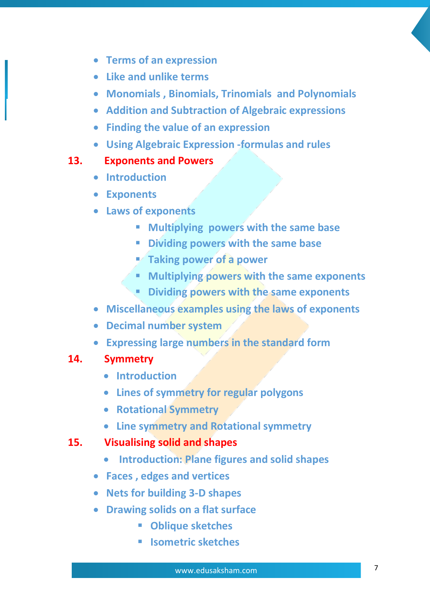- **Terms of an expression**
- **Like and unlike terms**
- **Monomials , Binomials, Trinomials and Polynomials**
- **Addition and Subtraction of Algebraic expressions**
- **Finding the value of an expression**
- **Using Algebraic Expression -formulas and rules**

#### **13. Exponents and Powers**

- **Introduction**
- **Exponents**
- **Laws of exponents**
	- § **Multiplying powers with the same base**
	- § **Dividing powers with the same base**
	- § **Taking power of a power**
	- § **Multiplying powers with the same exponents**
	- § **Dividing powers with the same exponents**
- **Miscellaneous examples using the laws of exponents**
- **Decimal number system**
- **Expressing large numbers in the standard form**

#### **14. Symmetry**

- **Introduction**
- **Lines of symmetry for regular polygons**
- **Rotational Symmetry**
- **Line symmetry and Rotational symmetry**
- **15. Visualising solid and shapes**
	- **Introduction: Plane figures and solid shapes**
	- **Faces , edges and vertices**
	- **Nets for building 3-D shapes**
	- **Drawing solids on a flat surface**
		- § **Oblique sketches**
		- § **Isometric sketches**